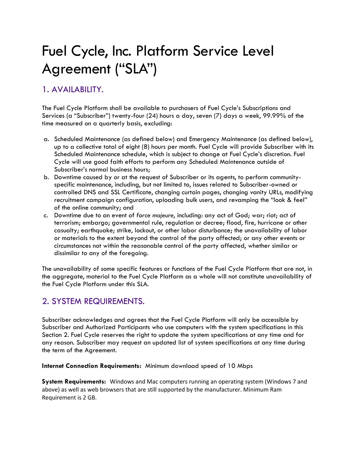# Fuel Cycle, Inc. Platform Service Level Agreement ("SLA")

## 1. AVAILABILITY.

The Fuel Cycle Platform shall be available to purchasers of Fuel Cycle's Subscriptions and Services (a "Subscriber") twenty-four (24) hours a day, seven (7) days a week, 99.99% of the time measured on a quarterly basis, excluding:

- a. Scheduled Maintenance (as defined below) and Emergency Maintenance (as defined below), up to a collective total of eight (8) hours per month. Fuel Cycle will provide Subscriber with its Scheduled Maintenance schedule, which is subject to change at Fuel Cycle's discretion. Fuel Cycle will use good faith efforts to perform any Scheduled Maintenance outside of Subscriber's normal business hours;
- b. Downtime caused by or at the request of Subscriber or its agents, to perform communityspecific maintenance, including, but not limited to, issues related to Subscriber-owned or controlled DNS and SSL Certificate, changing curtain pages, changing vanity URLs, modifying recruitment campaign configuration, uploading bulk users, and revamping the "look & feel" of the online community; and
- c. Downtime due to an event of *force majeure*, including: any act of God; war; riot; act of terrorism; embargo; governmental rule, regulation or decree; flood, fire, hurricane or other casualty; earthquake; strike, lockout, or other labor disturbance; the unavailability of labor or materials to the extent beyond the control of the party affected; or any other events or circumstances not within the reasonable control of the party affected, whether similar or dissimilar to any of the foregoing.

The unavailability of some specific features or functions of the Fuel Cycle Platform that are not, in the aggregate, material to the Fuel Cycle Platform as a whole will not constitute unavailability of the Fuel Cycle Platform under this SLA.

## 2. SYSTEM REQUIREMENTS.

Subscriber acknowledges and agrees that the Fuel Cycle Platform will only be accessible by Subscriber and Authorized Participants who use computers with the system specifications in this Section 2. Fuel Cycle reserves the right to update the system specifications at any time and for any reason. Subscriber may request an updated list of system specifications at any time during the term of the Agreement.

**Internet Connection Requirements:** Minimum download speed of 10 Mbps

**System Requirements:** Windows and Mac computers running an operating system (Windows 7 and above) as well as web browsers that are still supported by the manufacturer. Minimum Ram Requirement is 2 GB.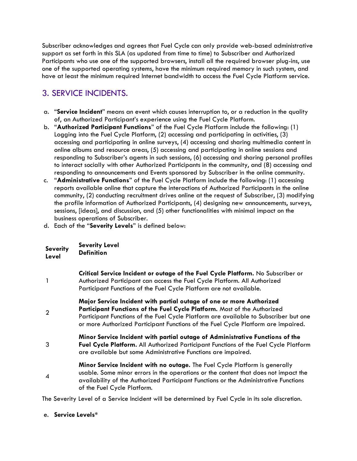Subscriber acknowledges and agrees that Fuel Cycle can only provide web-based administrative support as set forth in this SLA (as updated from time to time) to Subscriber and Authorized Participants who use one of the supported browsers, install all the required browser plug-ins, use one of the supported operating systems, have the minimum required memory in such system, and have at least the minimum required Internet bandwidth to access the Fuel Cycle Platform service.

# 3. SERVICE INCIDENTS.

- a. "**Service Incident**" means an event which causes interruption to, or a reduction in the quality of, an Authorized Participant's experience using the Fuel Cycle Platform.
- b. "**Authorized Participant Functions**" of the Fuel Cycle Platform include the following: (1) Logging into the Fuel Cycle Platform, (2) accessing and participating in activities, (3) accessing and participating in online surveys, (4) accessing and sharing multimedia content in online albums and resource areas, (5) accessing and participating in online sessions and responding to Subscriber's agents in such sessions, (6) accessing and sharing personal profiles to interact socially with other Authorized Participants in the community, and (8) accessing and responding to announcements and Events sponsored by Subscriber in the online community.
- c. "**Administrative Functions**" of the Fuel Cycle Platform include the following: (1) accessing reports available online that capture the interactions of Authorized Participants in the online community, (2) conducting recruitment drives online at the request of Subscriber, (3) modifying the profile information of Authorized Participants, (4) designing new announcements, surveys, sessions, [ideas], and discussion, and (5) other functionalities with minimal impact on the business operations of Subscriber.
- d. Each of the "**Severity Levels**" is defined below:

| <b>Severity</b><br>Level | <b>Severity Level</b><br><b>Definition</b>                                                                                                                                                                                                                                                                                    |  |
|--------------------------|-------------------------------------------------------------------------------------------------------------------------------------------------------------------------------------------------------------------------------------------------------------------------------------------------------------------------------|--|
| $\mathbf{1}$             | Critical Service Incident or outage of the Fuel Cycle Platform. No Subscriber or<br>Authorized Participant can access the Fuel Cycle Platform. All Authorized<br>Participant Functions of the Fuel Cycle Platform are not available.                                                                                          |  |
| $\overline{2}$           | Major Service Incident with partial outage of one or more Authorized<br>Participant Functions of the Fuel Cycle Platform. Most of the Authorized<br>Participant Functions of the Fuel Cycle Platform are available to Subscriber but one<br>or more Authorized Participant Functions of the Fuel Cycle Platform are impaired. |  |
| 3                        | Minor Service Incident with partial outage of Administrative Functions of the<br>Fuel Cycle Platform. All Authorized Participant Functions of the Fuel Cycle Platform<br>are available but some Administrative Functions are impaired.                                                                                        |  |
| $\boldsymbol{4}$         | Minor Service Incident with no outage. The Fuel Cycle Platform is generally<br>usable. Some minor errors in the operations or the content that does not impact the<br>availability of the Authorized Participant Functions or the Administrative Functions<br>of the Fuel Cycle Platform.                                     |  |

The Severity Level of a Service Incident will be determined by Fuel Cycle in its sole discretion.

e. **Service Levels\***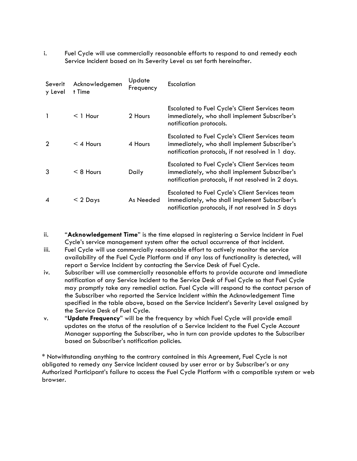i. Fuel Cycle will use commercially reasonable efforts to respond to and remedy each Service Incident based on its Severity Level as set forth hereinafter.

| Severit<br>y Level | Acknowledgemen<br>t Time | Update<br>Frequency | Escalation                                                                                                                                                   |
|--------------------|--------------------------|---------------------|--------------------------------------------------------------------------------------------------------------------------------------------------------------|
|                    | $<$ 1 Hour               | 2 Hours             | <b>Escalated to Fuel Cycle's Client Services team</b><br>immediately, who shall implement Subscriber's<br>notification protocols.                            |
| 2                  | $<$ 4 Hours              | 4 Hours             | <b>Escalated to Fuel Cycle's Client Services team</b><br>immediately, who shall implement Subscriber's<br>notification protocols, if not resolved in 1 day.  |
| 3                  | $< 8$ Hours              | Daily               | <b>Escalated to Fuel Cycle's Client Services team</b><br>immediately, who shall implement Subscriber's<br>notification protocols, if not resolved in 2 days. |
| 4                  | $<$ 2 Days               | As Needed           | <b>Escalated to Fuel Cycle's Client Services team</b><br>immediately, who shall implement Subscriber's<br>notification protocols, if not resolved in 5 days  |

- ii. "**Acknowledgement Time**" is the time elapsed in registering a Service Incident in Fuel Cycle's service management system after the actual occurrence of that incident.
- iii. Fuel Cycle will use commercially reasonable effort to actively monitor the service availability of the Fuel Cycle Platform and if any loss of functionality is detected, will report a Service Incident by contacting the Service Desk of Fuel Cycle.
- iv. Subscriber will use commercially reasonable efforts to provide accurate and immediate notification of any Service Incident to the Service Desk of Fuel Cycle so that Fuel Cycle may promptly take any remedial action. Fuel Cycle will respond to the contact person of the Subscriber who reported the Service Incident within the Acknowledgement Time specified in the table above, based on the Service Incident's Severity Level assigned by the Service Desk of Fuel Cycle.
- v. "**Update Frequency**" will be the frequency by which Fuel Cycle will provide email updates on the status of the resolution of a Service Incident to the Fuel Cycle Account Manager supporting the Subscriber, who in turn can provide updates to the Subscriber based on Subscriber's notification policies.

\* Notwithstanding anything to the contrary contained in this Agreement, Fuel Cycle is not obligated to remedy any Service Incident caused by user error or by Subscriber's or any Authorized Participant's failure to access the Fuel Cycle Platform with a compatible system or web browser.